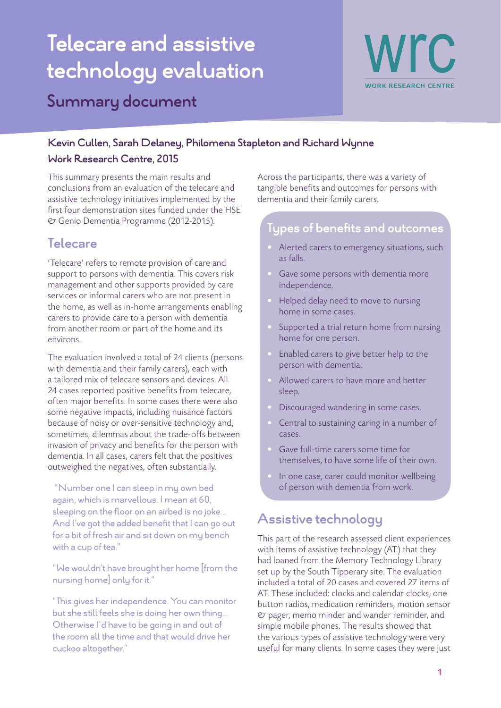# **Telecare and assistive technology evaluation Summary document**



### **Kevin Cullen, Sarah Delaney, Philomena Stapleton and Richard Wynne Work Research Centre, 2015**

This summary presents the main results and conclusions from an evaluation of the telecare and

assistive technology initiatives implemented by the first four demonstration sites funded under the HSE & Genio Dementia Programme (2012-2015).

# **Telecare**

'Telecare' refers to remote provision of care and support to persons with dementia. This covers risk management and other supports provided by care services or informal carers who are not present in the home, as well as in-home arrangements enabling carers to provide care to a person with dementia from another room or part of the home and its environs.

The evaluation involved a total of 24 clients (persons with dementia and their family carers), each with a tailored mix of telecare sensors and devices. All 24 cases reported positive benefits from telecare, often major benefits. In some cases there were also some negative impacts, including nuisance factors because of noisy or over-sensitive technology and, sometimes, dilemmas about the trade-offs between invasion of privacy and benefits for the person with dementia. In all cases, carers felt that the positives outweighed the negatives, often substantially.

 "Number one I can sleep in my own bed again, which is marvellous. I mean at 60, sleeping on the floor on an airbed is no joke... And I've got the added benefit that I can go out for a bit of fresh air and sit down on my bench with a cup of tea."

"We wouldn't have brought her home [from the nursing home] only for it."

"This gives her independence. You can monitor but she still feels she is doing her own thing... Otherwise I'd have to be going in and out of the room all the time and that would drive her cuckoo altogether."

Across the participants, there was a variety of tangible benefits and outcomes for persons with dementia and their family carers.

### **Types of benefits and outcomes**

- Alerted carers to emergency situations, such as falls.
- Gave some persons with dementia more independence.
- Helped delay need to move to nursing home in some cases.
- Supported a trial return home from nursing home for one person.
- Enabled carers to give better help to the person with dementia.
- Allowed carers to have more and better sleep.
- Discouraged wandering in some cases.
- Central to sustaining caring in a number of cases.
- Gave full-time carers some time for themselves, to have some life of their own.
- In one case, carer could monitor wellbeing of person with dementia from work.

# **Assistive technology**

This part of the research assessed client experiences with items of assistive technology (AT) that they had loaned from the Memory Technology Library set up by the South Tipperary site. The evaluation included a total of 20 cases and covered 27 items of AT. These included: clocks and calendar clocks, one button radios, medication reminders, motion sensor & pager, memo minder and wander reminder, and simple mobile phones. The results showed that the various types of assistive technology were very useful for many clients. In some cases they were just